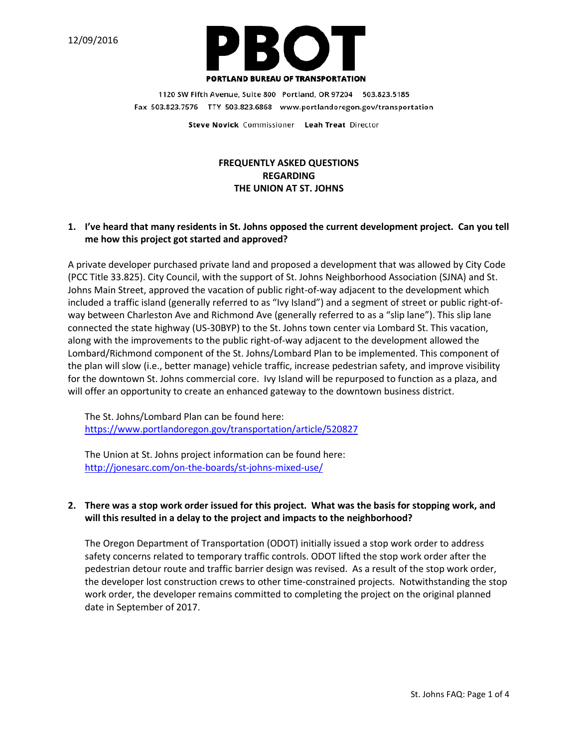

1120 SW Fifth Avenue, Suite 800 Portland, OR 97204 503.823.5185 Fax 503.823.7576 TTY 503.823.6868 www.portlandoregon.gov/transportation

Steve Novick Commissioner Leah Treat Director

# **FREQUENTLY ASKED QUESTIONS REGARDING THE UNION AT ST. JOHNS**

### **1. I've heard that many residents in St. Johns opposed the current development project. Can you tell me how this project got started and approved?**

A private developer purchased private land and proposed a development that was allowed by City Code (PCC Title 33.825). City Council, with the support of St. Johns Neighborhood Association (SJNA) and St. Johns Main Street, approved the vacation of public right-of-way adjacent to the development which included a traffic island (generally referred to as "Ivy Island") and a segment of street or public right-ofway between Charleston Ave and Richmond Ave (generally referred to as a "slip lane"). This slip lane connected the state highway (US-30BYP) to the St. Johns town center via Lombard St. This vacation, along with the improvements to the public right-of-way adjacent to the development allowed the Lombard/Richmond component of the St. Johns/Lombard Plan to be implemented. This component of the plan will slow (i.e., better manage) vehicle traffic, increase pedestrian safety, and improve visibility for the downtown St. Johns commercial core. Ivy Island will be repurposed to function as a plaza, and will offer an opportunity to create an enhanced gateway to the downtown business district.

The [St. Johns/Lombard Plan](https://www.portlandoregon.gov/transportation/article/520827) can be found here: <https://www.portlandoregon.gov/transportation/article/520827>

The Union at St. Johns project information can be found here: <http://jonesarc.com/on-the-boards/st-johns-mixed-use/>

## **2. There was a stop work order issued for this project. What was the basis for stopping work, and will this resulted in a delay to the project and impacts to the neighborhood?**

The Oregon Department of Transportation (ODOT) initially issued a stop work order to address safety concerns related to temporary traffic controls. ODOT lifted the stop work order after the pedestrian detour route and traffic barrier design was revised. As a result of the stop work order, the developer lost construction crews to other time-constrained projects. Notwithstanding the stop work order, the developer remains committed to completing the project on the original planned date in September of 2017.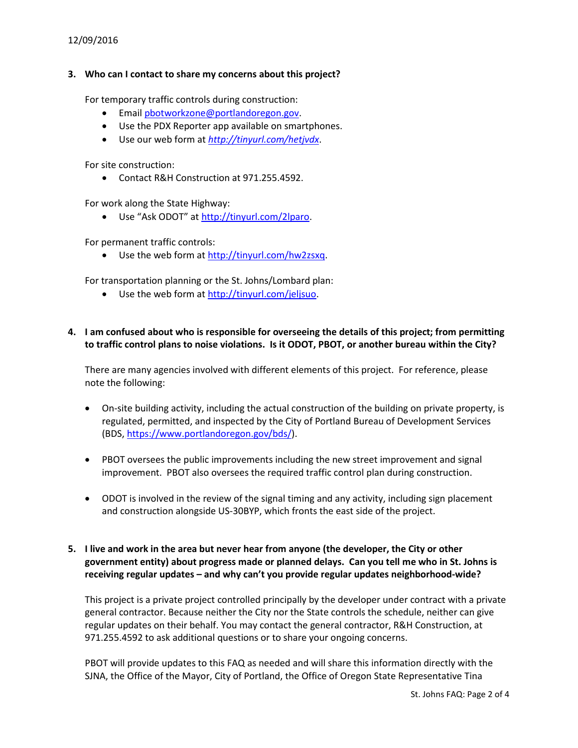### 12/09/2016

#### **3. Who can I contact to share my concerns about this project?**

For temporary traffic controls during construction:

- Email [pbotworkzone@portlandoregon.gov.](mailto:pbotworkzone@portlandoregon.gov)
- Use the PDX Reporter app available on smartphones.
- Use our web form at *<http://tinyurl.com/hetjvdx>*.

For site construction:

• Contact R&H Construction at 971.255.4592.

For work along the State Highway:

• Use "Ask ODOT" at [http://tinyurl.com/2lparo.](http://tinyurl.com/2lparo)

For permanent traffic controls:

• Use the web form at [http://tinyurl.com/hw2zsxq.](http://tinyurl.com/hw2zsxq)

For transportation planning or the St. Johns/Lombard plan:

• Use the web form at [http://tinyurl.com/jeljsuo.](http://tinyurl.com/jeljsuo)

### **4. I am confused about who is responsible for overseeing the details of this project; from permitting to traffic control plans to noise violations. Is it ODOT, PBOT, or another bureau within the City?**

There are many agencies involved with different elements of this project. For reference, please note the following:

- On-site building activity, including the actual construction of the building on private property, is regulated, permitted, and inspected by the City of Portland Bureau of Development Services (BDS, [https://www.portlandoregon.gov/bds/\)](https://www.portlandoregon.gov/bds/).
- PBOT oversees the public improvements including the new street improvement and signal improvement. PBOT also oversees the required traffic control plan during construction.
- ODOT is involved in the review of the signal timing and any activity, including sign placement and construction alongside US-30BYP, which fronts the east side of the project.

## **5. I live and work in the area but never hear from anyone (the developer, the City or other government entity) about progress made or planned delays. Can you tell me who in St. Johns is receiving regular updates – and why can't you provide regular updates neighborhood-wide?**

This project is a private project controlled principally by the developer under contract with a private general contractor. Because neither the City nor the State controls the schedule, neither can give regular updates on their behalf. You may contact the general contractor, R&H Construction, at 971.255.4592 to ask additional questions or to share your ongoing concerns.

PBOT will provide updates to this FAQ as needed and will share this information directly with the SJNA, the Office of the Mayor, City of Portland, the Office of Oregon State Representative Tina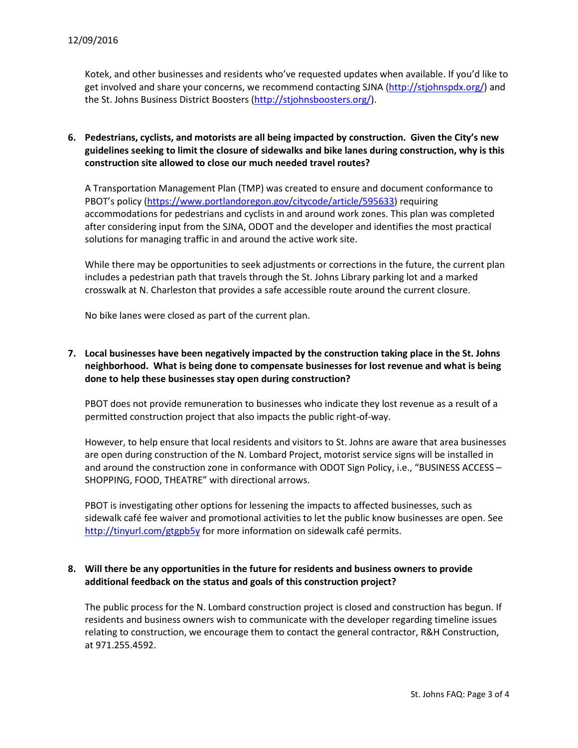Kotek, and other businesses and residents who've requested updates when available. If you'd like to get involved and share your concerns, we recommend contacting SJNA [\(http://stjohnspdx.org/\)](http://stjohnspdx.org/) and the St. Johns Business District Boosters [\(http://stjohnsboosters.org/\)](http://stjohnsboosters.org/).

**6. Pedestrians, cyclists, and motorists are all being impacted by construction. Given the City's new guidelines seeking to limit the closure of sidewalks and bike lanes during construction, why is this construction site allowed to close our much needed travel routes?**

A Transportation Management Plan (TMP) was created to ensure and document conformance to PBOT's policy [\(https://www.portlandoregon.gov/citycode/article/595633\)](https://www.portlandoregon.gov/citycode/article/595633) requiring accommodations for pedestrians and cyclists in and around work zones. This plan was completed after considering input from the SJNA, ODOT and the developer and identifies the most practical solutions for managing traffic in and around the active work site.

While there may be opportunities to seek adjustments or corrections in the future, the current plan includes a pedestrian path that travels through the St. Johns Library parking lot and a marked crosswalk at N. Charleston that provides a safe accessible route around the current closure.

No bike lanes were closed as part of the current plan.

**7. Local businesses have been negatively impacted by the construction taking place in the St. Johns neighborhood. What is being done to compensate businesses for lost revenue and what is being done to help these businesses stay open during construction?**

PBOT does not provide remuneration to businesses who indicate they lost revenue as a result of a permitted construction project that also impacts the public right-of-way.

However, to help ensure that local residents and visitors to St. Johns are aware that area businesses are open during construction of the N. Lombard Project, motorist service signs will be installed in and around the construction zone in conformance with ODOT Sign Policy, i.e., "BUSINESS ACCESS – SHOPPING, FOOD, THEATRE" with directional arrows.

PBOT is investigating other options for lessening the impacts to affected businesses, such as sidewalk café fee waiver and promotional activities to let the public know businesses are open. See <http://tinyurl.com/gtgpb5y> for more information on sidewalk café permits.

## **8. Will there be any opportunities in the future for residents and business owners to provide additional feedback on the status and goals of this construction project?**

The public process for the N. Lombard construction project is closed and construction has begun. If residents and business owners wish to communicate with the developer regarding timeline issues relating to construction, we encourage them to contact the general contractor, R&H Construction, at 971.255.4592.